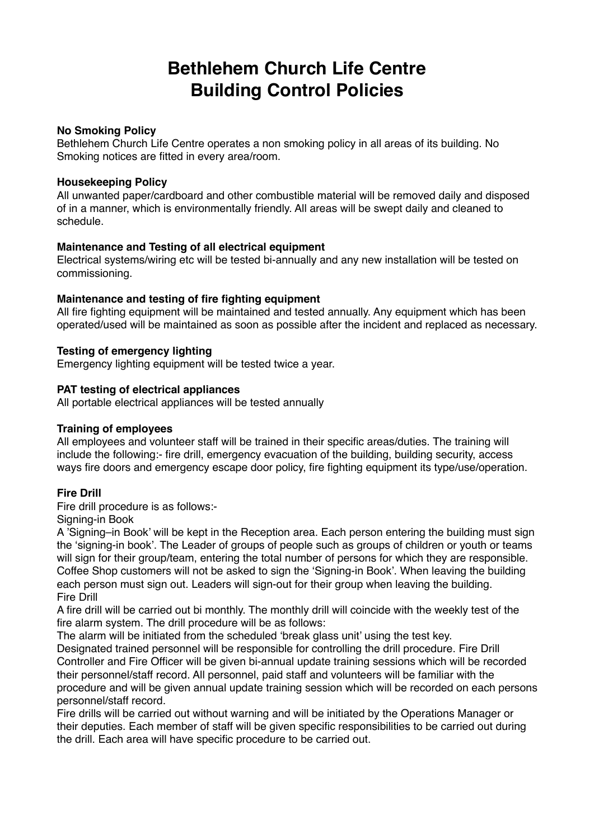# **Bethlehem Church Life Centre Building Control Policies**

## **No Smoking Policy**

Bethlehem Church Life Centre operates a non smoking policy in all areas of its building. No Smoking notices are fitted in every area/room.

#### **Housekeeping Policy**

All unwanted paper/cardboard and other combustible material will be removed daily and disposed of in a manner, which is environmentally friendly. All areas will be swept daily and cleaned to schedule.

#### **Maintenance and Testing of all electrical equipment**

Electrical systems/wiring etc will be tested bi-annually and any new installation will be tested on commissioning.

#### **Maintenance and testing of fire fighting equipment**

All fire fighting equipment will be maintained and tested annually. Any equipment which has been operated/used will be maintained as soon as possible after the incident and replaced as necessary.

## **Testing of emergency lighting**

Emergency lighting equipment will be tested twice a year.

#### **PAT testing of electrical appliances**

All portable electrical appliances will be tested annually

## **Training of employees**

All employees and volunteer staff will be trained in their specific areas/duties. The training will include the following:- fire drill, emergency evacuation of the building, building security, access ways fire doors and emergency escape door policy, fire fighting equipment its type/use/operation.

## **Fire Drill**

Fire drill procedure is as follows:-

Signing-in Book

A 'Signing–in Book' will be kept in the Reception area. Each person entering the building must sign the 'signing-in book'. The Leader of groups of people such as groups of children or youth or teams will sign for their group/team, entering the total number of persons for which they are responsible. Coffee Shop customers will not be asked to sign the 'Signing-in Book'. When leaving the building each person must sign out. Leaders will sign-out for their group when leaving the building. Fire Drill

A fire drill will be carried out bi monthly. The monthly drill will coincide with the weekly test of the fire alarm system. The drill procedure will be as follows:

The alarm will be initiated from the scheduled 'break glass unit' using the test key.

Designated trained personnel will be responsible for controlling the drill procedure. Fire Drill Controller and Fire Officer will be given bi-annual update training sessions which will be recorded their personnel/staff record. All personnel, paid staff and volunteers will be familiar with the procedure and will be given annual update training session which will be recorded on each persons personnel/staff record.

Fire drills will be carried out without warning and will be initiated by the Operations Manager or their deputies. Each member of staff will be given specific responsibilities to be carried out during the drill. Each area will have specific procedure to be carried out.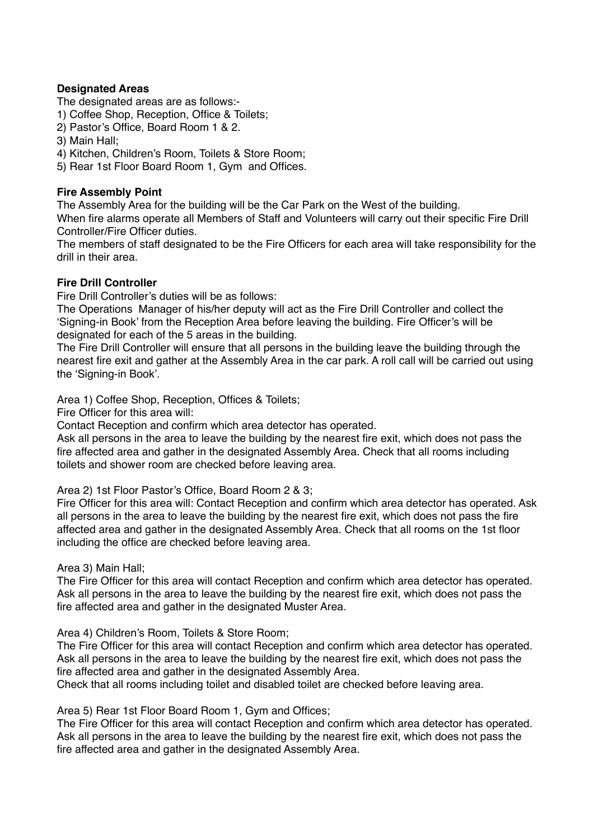## **Designated Areas**

The designated areas are as follows:-

1) Coffee Shop, Reception, Office & Toilets;

- 2) Pastor's Office, Board Room 1 & 2.
- 3) Main Hall;

4) Kitchen, Children's Room, Toilets & Store Room;

5) Rear 1st Floor Board Room 1, Gym and Offices.

# **Fire Assembly Point**

The Assembly Area for the building will be the Car Park on the West of the building.

When fire alarms operate all Members of Staff and Volunteers will carry out their specific Fire Drill Controller/Fire Officer duties.

The members of staff designated to be the Fire Officers for each area will take responsibility for the drill in their area.

# **Fire Drill Controller**

Fire Drill Controller's duties will be as follows:

The Operations Manager of his/her deputy will act as the Fire Drill Controller and collect the 'Signing-in Book' from the Reception Area before leaving the building. Fire Officer's will be designated for each of the 5 areas in the building.

The Fire Drill Controller will ensure that all persons in the building leave the building through the nearest fire exit and gather at the Assembly Area in the car park. A roll call will be carried out using the 'Signing-in Book'.

Area 1) Coffee Shop, Reception, Offices & Toilets;

Fire Officer for this area will:

Contact Reception and confirm which area detector has operated.

Ask all persons in the area to leave the building by the nearest fire exit, which does not pass the fire affected area and gather in the designated Assembly Area. Check that all rooms including toilets and shower room are checked before leaving area.

Area 2) 1st Floor Pastor's Office, Board Room 2 & 3;

Fire Officer for this area will: Contact Reception and confirm which area detector has operated. Ask all persons in the area to leave the building by the nearest fire exit, which does not pass the fire affected area and gather in the designated Assembly Area. Check that all rooms on the 1st floor including the office are checked before leaving area.

## Area 3) Main Hall;

The Fire Officer for this area will contact Reception and confirm which area detector has operated. Ask all persons in the area to leave the building by the nearest fire exit, which does not pass the fire affected area and gather in the designated Muster Area.

Area 4) Children's Room, Toilets & Store Room;

The Fire Officer for this area will contact Reception and confirm which area detector has operated. Ask all persons in the area to leave the building by the nearest fire exit, which does not pass the fire affected area and gather in the designated Assembly Area.

Check that all rooms including toilet and disabled toilet are checked before leaving area.

Area 5) Rear 1st Floor Board Room 1, Gym and Offices;

The Fire Officer for this area will contact Reception and confirm which area detector has operated. Ask all persons in the area to leave the building by the nearest fire exit, which does not pass the fire affected area and gather in the designated Assembly Area.